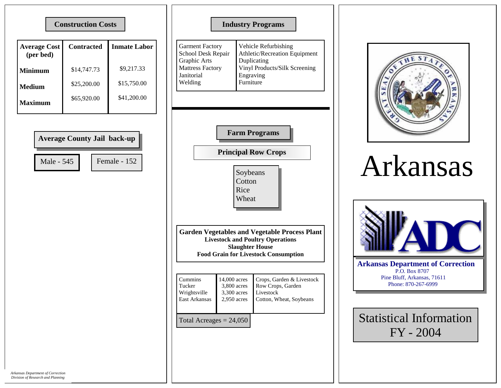## **Construction Costs**

| <b>Average Cost</b><br>(per bed) | <b>Contracted</b> | <b>Inmate Labor</b> |
|----------------------------------|-------------------|---------------------|
| <b>Minimum</b>                   | \$14,747.73       | \$9,217.33          |
| Medium                           | \$25,200.00       | \$15,750.00         |
| Maximum                          | \$65,920.00       | \$41,200.00         |

| <b>Average County Jail back-up</b> |              |  |  |  |
|------------------------------------|--------------|--|--|--|
| Male - 545                         | Female - 152 |  |  |  |
|                                    |              |  |  |  |

## **Industry Programs**

| Garment Factory<br>School Desk Repair<br>Graphic Arts<br><b>Mattress Factory</b><br>Janitorial | Vehicle Refurbishing<br>Athletic/Recreation Equipment<br>Duplicating<br>Vinyl Products/Silk Screening<br>Engraving |
|------------------------------------------------------------------------------------------------|--------------------------------------------------------------------------------------------------------------------|
|                                                                                                |                                                                                                                    |
| Welding                                                                                        | Furniture                                                                                                          |



**Principal Row Crops** 

Soybeans Cotton Rice Wheat

**Garden Vegetables and Vegetable Process Plant Livestock and Poultry Operations Slaughter House Food Grain for Livestock Consumption** 

| Cummins                   | 14,000 acres  | Crops, Garden & Livestock |
|---------------------------|---------------|---------------------------|
| Tucker                    | 3,800 acres   | Row Crops, Garden         |
| Wrightsville              | 3,300 acres   | Livestock                 |
| East Arkansas             | $2,950$ acres | Cotton, Wheat, Soybeans   |
| Total Acreages $= 24,050$ |               |                           |



## Arkansas